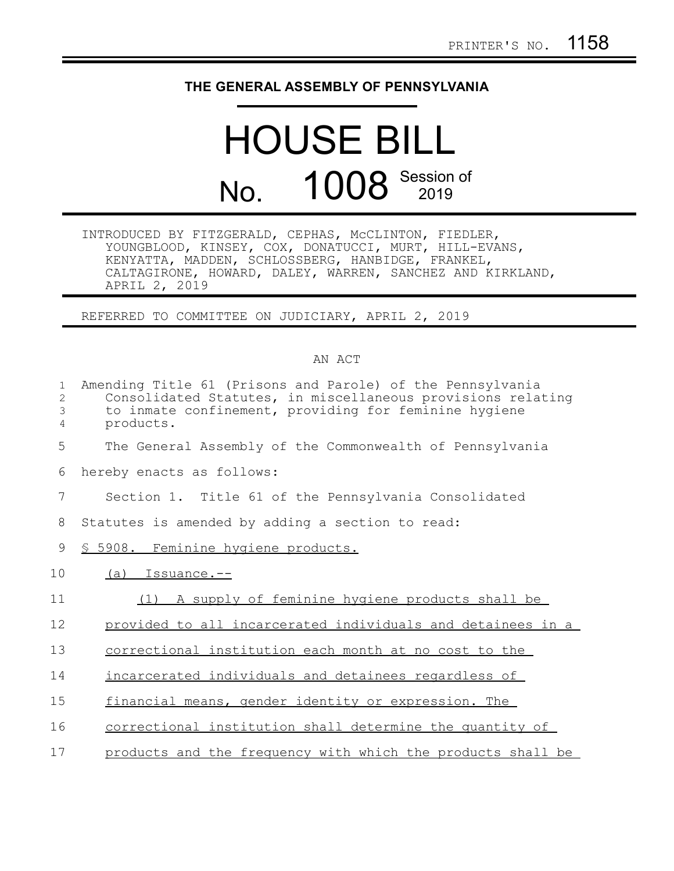## **THE GENERAL ASSEMBLY OF PENNSYLVANIA**

## HOUSE BILL No. 1008 Session of

INTRODUCED BY FITZGERALD, CEPHAS, McCLINTON, FIEDLER, YOUNGBLOOD, KINSEY, COX, DONATUCCI, MURT, HILL-EVANS, KENYATTA, MADDEN, SCHLOSSBERG, HANBIDGE, FRANKEL, CALTAGIRONE, HOWARD, DALEY, WARREN, SANCHEZ AND KIRKLAND, APRIL 2, 2019

REFERRED TO COMMITTEE ON JUDICIARY, APRIL 2, 2019

## AN ACT

| $\mathbf{1}$      | Amending Title 61 (Prisons and Parole) of the Pennsylvania                                                           |
|-------------------|----------------------------------------------------------------------------------------------------------------------|
| $\mathbf{2}$<br>3 | Consolidated Statutes, in miscellaneous provisions relating<br>to inmate confinement, providing for feminine hygiene |
| 4                 | products.                                                                                                            |
| 5                 | The General Assembly of the Commonwealth of Pennsylvania                                                             |
| 6                 | hereby enacts as follows:                                                                                            |
| 7                 | Section 1. Title 61 of the Pennsylvania Consolidated                                                                 |
| 8                 | Statutes is amended by adding a section to read:                                                                     |
| 9                 | § 5908. Feminine hygiene products.                                                                                   |
| 10                | $(a)$ Issuance.--                                                                                                    |
| 11                | (1) A supply of feminine hygiene products shall be                                                                   |
| 12                | provided to all incarcerated individuals and detainees in a                                                          |
| 13                | correctional institution each month at no cost to the                                                                |
| 14                | incarcerated individuals and detainees regardless of                                                                 |
| 15                | financial means, gender identity or expression. The                                                                  |
| 16                | correctional institution shall determine the quantity of                                                             |
| 17                | products and the frequency with which the products shall be                                                          |